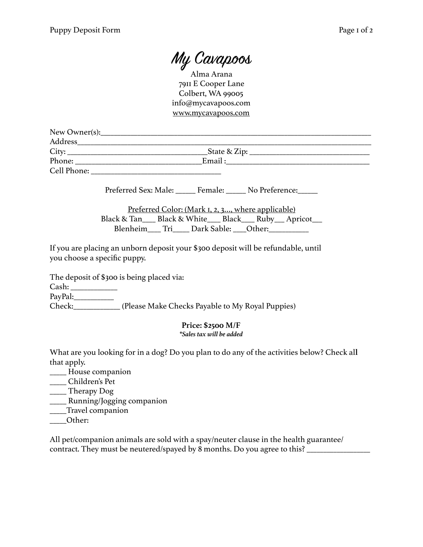My Cavapoos

Alma Arana 7911 E Cooper Lane Colbert, WA 99005 info@mycavapoos.com [www.mycavapoos.com](http://www.mycavapoos.com)

| New Owner(s): |                                |  |
|---------------|--------------------------------|--|
| Address       |                                |  |
| City:         | _State & Zip: ________________ |  |
| Phone:        | Email:                         |  |
| Cell Phone:   |                                |  |

Preferred Sex: Male: \_\_\_\_\_\_ Female: \_\_\_\_\_ No Preference: \_\_\_\_\_

Preferred Color: (Mark 1, 2, 3…, where applicable) Black & Tan\_\_\_\_ Black & White\_\_\_\_ Black\_\_\_\_ Ruby\_\_\_ Apricot\_\_\_ Blenheim\_\_\_\_ Tri\_\_\_\_\_ Dark Sable: \_\_\_Other:\_\_\_\_\_\_\_\_\_\_\_\_

If you are placing an unborn deposit your \$300 deposit will be refundable, until you choose a specific puppy.

The deposit of \$300 is being placed via:

Cash: \_\_\_\_\_\_\_\_\_\_\_\_\_\_

PayPal:

Check:\_\_\_\_\_\_\_\_\_\_\_\_\_\_ (Please Make Checks Payable to My Royal Puppies)

## **Price: \$2500 M/F** *\*Sales tax will be added*

What are you looking for in a dog? Do you plan to do any of the activities below? Check al**l** that apply.

- \_\_\_\_\_ House companion
- \_\_\_\_\_ Children's Pet

 $\frac{1}{2}$  Therapy Dog

- \_\_\_\_\_ Running/Jogging companion
- \_\_\_\_\_Travel companion
- \_\_\_\_\_Other:

All pet/companion animals are sold with a spay/neuter clause in the health guarantee/ contract. They must be neutered/spayed by 8 months. Do you agree to this? \_\_\_\_\_\_\_\_\_\_\_\_\_